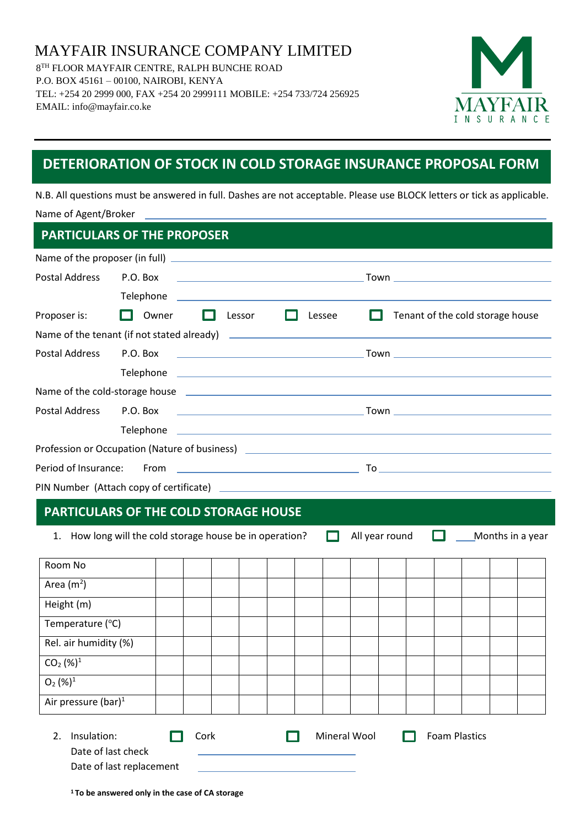# MAYFAIR INSURANCE COMPANY LIMITED

 8 TH FLOOR MAYFAIR CENTRE, RALPH BUNCHE ROAD P.O. BOX 45161 – 00100, NAIROBI, KENYA TEL: +254 20 2999 000, FAX +254 20 2999111 MOBILE: +254 733/724 256925 EMAIL: info@mayfair.co.ke



# **DETERIORATION OF STOCK IN COLD STORAGE INSURANCE PROPOSAL FORM**

N.B. All questions must be answered in full. Dashes are not acceptable. Please use BLOCK letters or tick as applicable.

#### Name of Agent/Broker

### **PARTICULARS OF THE PROPOSER**

| Postal Address |                                                                                                                |                                  |  |  |  |  |
|----------------|----------------------------------------------------------------------------------------------------------------|----------------------------------|--|--|--|--|
|                |                                                                                                                |                                  |  |  |  |  |
| Proposer is:   | $\Box$ Owner $\Box$<br>Lessor<br>Lessee                                                                        | Tenant of the cold storage house |  |  |  |  |
|                |                                                                                                                |                                  |  |  |  |  |
|                |                                                                                                                |                                  |  |  |  |  |
|                |                                                                                                                |                                  |  |  |  |  |
|                |                                                                                                                |                                  |  |  |  |  |
|                | Postal Address P.O. Box 2000 Contract Communication Contract Communication Postal Address P.O. Box 2000 Commun |                                  |  |  |  |  |
|                |                                                                                                                |                                  |  |  |  |  |
|                | Profession or Occupation (Nature of business) 2008 2012 2022 2023 2024 2022 2023 2024 2022 2023 2024 2022 2023 |                                  |  |  |  |  |
|                |                                                                                                                |                                  |  |  |  |  |
|                |                                                                                                                |                                  |  |  |  |  |

### **PARTICULARS OF THE COLD STORAGE HOUSE**

|  |  | 1. How long will the cold storage house be in operation? |  | $\Box$ All year round |
|--|--|----------------------------------------------------------|--|-----------------------|
|--|--|----------------------------------------------------------|--|-----------------------|

 $\Box$  Months in a year

| Room No                                                                                                             |  |  |  |  |  |  |  |  |  |
|---------------------------------------------------------------------------------------------------------------------|--|--|--|--|--|--|--|--|--|
| Area $(m2)$                                                                                                         |  |  |  |  |  |  |  |  |  |
| Height (m)                                                                                                          |  |  |  |  |  |  |  |  |  |
| Temperature (°C)                                                                                                    |  |  |  |  |  |  |  |  |  |
| Rel. air humidity (%)                                                                                               |  |  |  |  |  |  |  |  |  |
| $CO2$ (%) <sup>1</sup>                                                                                              |  |  |  |  |  |  |  |  |  |
| $O_2$ (%) <sup>1</sup>                                                                                              |  |  |  |  |  |  |  |  |  |
| Air pressure (bar) <sup>1</sup>                                                                                     |  |  |  |  |  |  |  |  |  |
| <b>Foam Plastics</b><br>Mineral Wool<br>Insulation:<br>Cork<br>2.<br>Date of last check<br>Date of last replacement |  |  |  |  |  |  |  |  |  |

**<sup>1</sup>To be answered only in the case of CA storage** s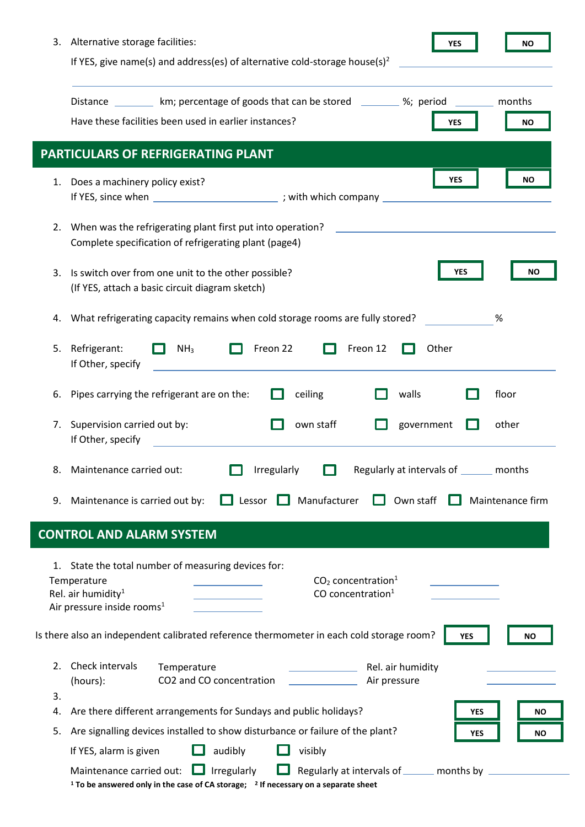| 3.       | Alternative storage facilities:<br><b>YES</b><br>ΝO<br>If YES, give name(s) and address(es) of alternative cold-storage house(s) <sup>2</sup>                                                                                                                                                                  |
|----------|----------------------------------------------------------------------------------------------------------------------------------------------------------------------------------------------------------------------------------------------------------------------------------------------------------------|
|          | Distance ___________ km; percentage of goods that can be stored _________ %; period _______<br>months<br>Have these facilities been used in earlier instances?<br><b>YES</b><br>ΝO                                                                                                                             |
|          | <b>PARTICULARS OF REFRIGERATING PLANT</b>                                                                                                                                                                                                                                                                      |
| 1.       | <b>YES</b><br>NO.<br>Does a machinery policy exist?                                                                                                                                                                                                                                                            |
| 2.       | When was the refrigerating plant first put into operation?<br>the control of the control of the control of the control of the control of the control of<br>Complete specification of refrigerating plant (page4)                                                                                               |
| 3.       | <b>YES</b><br>Is switch over from one unit to the other possible?<br><b>NO</b><br>(If YES, attach a basic circuit diagram sketch)                                                                                                                                                                              |
| 4.       | What refrigerating capacity remains when cold storage rooms are fully stored?<br>%                                                                                                                                                                                                                             |
| 5.       | Freon 22<br>Freon 12<br>Refrigerant:<br>Other<br>NH <sub>3</sub><br>If Other, specify                                                                                                                                                                                                                          |
| 6.       | Pipes carrying the refrigerant are on the:<br>ceiling<br>floor<br>walls                                                                                                                                                                                                                                        |
| 7.       | own staff<br>Supervision carried out by:<br>other<br>government<br>If Other, specify                                                                                                                                                                                                                           |
| 8.       | Maintenance carried out:<br>Irregularly<br>Regularly at intervals of ______ months                                                                                                                                                                                                                             |
| 9.       | Manufacturer<br>Own staff<br>Maintenance is carried out by:<br>Lessor $\Box$<br>Maintenance firm<br>- F 1                                                                                                                                                                                                      |
|          | <b>CONTROL AND ALARM SYSTEM</b>                                                                                                                                                                                                                                                                                |
|          | 1. State the total number of measuring devices for:<br>$CO2 concentration1$<br>Temperature<br>Rel. air humidity <sup>1</sup><br>CO concentration $1$<br>Air pressure inside rooms <sup>1</sup><br>Is there also an independent calibrated reference thermometer in each cold storage room?<br><b>YES</b><br>NΟ |
| 2.<br>3. | Check intervals<br>Temperature<br>Rel. air humidity<br>CO2 and CO concentration<br>Air pressure<br>(hours):                                                                                                                                                                                                    |
| 4.<br>5. | Are there different arrangements for Sundays and public holidays?<br><b>YES</b><br><b>NO</b><br>Are signalling devices installed to show disturbance or failure of the plant?<br><b>YES</b><br><b>NO</b><br>audibly<br>visibly<br>If YES, alarm is given                                                       |
|          | Irregularly<br>Maintenance carried out:<br>$\Box$<br>Regularly at intervals of ______ months by _<br><sup>1</sup> To be answered only in the case of CA storage; $\frac{1}{2}$ If necessary on a separate sheet                                                                                                |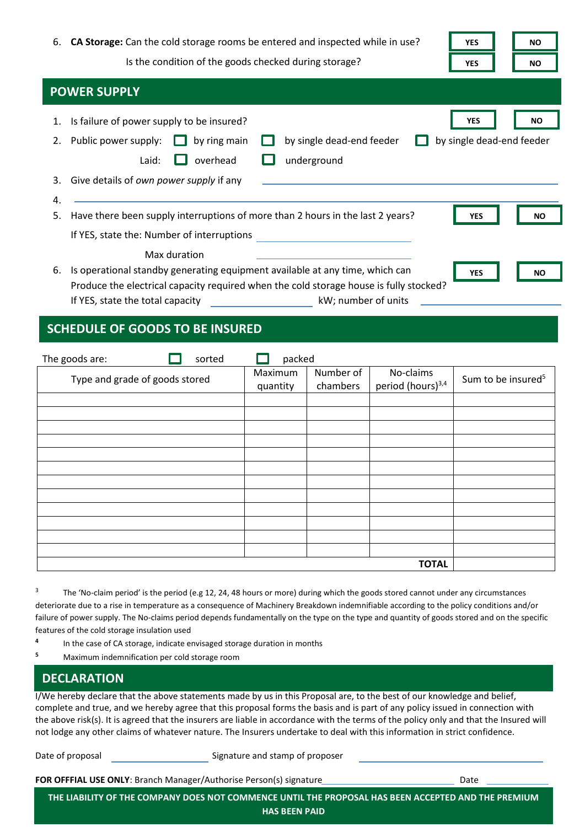| 6. | <b>CA Storage:</b> Can the cold storage rooms be entered and inspected while in use?<br><b>YES</b><br><b>NO</b><br>Is the condition of the goods checked during storage?<br><b>YES</b><br>NO. |
|----|-----------------------------------------------------------------------------------------------------------------------------------------------------------------------------------------------|
|    | <b>POWER SUPPLY</b>                                                                                                                                                                           |
| 1. | Is failure of power supply to be insured?<br><b>YES</b><br>ΝO                                                                                                                                 |
| 2. | by single dead-end feeder<br>Public power supply:<br>by ring main<br>by single dead-end feeder                                                                                                |
|    | overhead<br>underground<br>Laid:                                                                                                                                                              |
| 3. | Give details of own power supply if any                                                                                                                                                       |
| 4. |                                                                                                                                                                                               |
| 5. | Have there been supply interruptions of more than 2 hours in the last 2 years?<br><b>YES</b><br>ΝO                                                                                            |
|    | If YES, state the: Number of interruptions                                                                                                                                                    |
|    | Max duration                                                                                                                                                                                  |
| 6. | Is operational standby generating equipment available at any time, which can<br><b>YES</b><br><b>NO</b>                                                                                       |
|    | Produce the electrical capacity required when the cold storage house is fully stocked?                                                                                                        |
|    | If YES, state the total capacity<br>kW; number of units                                                                                                                                       |

## **SCHEDULE OF GOODS TO BE INSURED**

| The goods are:                 | sorted   | packed    |                               |                                |  |
|--------------------------------|----------|-----------|-------------------------------|--------------------------------|--|
| Type and grade of goods stored | Maximum  | Number of | No-claims                     | Sum to be insured <sup>5</sup> |  |
|                                | quantity | chambers  | period (hours) <sup>3,4</sup> |                                |  |
|                                |          |           |                               |                                |  |
|                                |          |           |                               |                                |  |
|                                |          |           |                               |                                |  |
|                                |          |           |                               |                                |  |
|                                |          |           |                               |                                |  |
|                                |          |           |                               |                                |  |
|                                |          |           |                               |                                |  |
|                                |          |           |                               |                                |  |
|                                |          |           |                               |                                |  |
|                                |          |           |                               |                                |  |
|                                |          |           |                               |                                |  |
|                                |          |           |                               |                                |  |
|                                |          |           |                               |                                |  |

 $3$  The 'No-claim period' is the period (e.g 12, 24, 48 hours or more) during which the goods stored cannot under any circumstances deteriorate due to a rise in temperature as a consequence of Machinery Breakdown indemnifiable according to the policy conditions and/or failure of power supply. The No-claims period depends fundamentally on the type on the type and quantity of goods stored and on the specific features of the cold storage insulation used

- **4** In the case of CA storage, indicate envisaged storage duration in months
- **<sup>5</sup>** Maximum indemnification per cold storage room

#### **DECLARATION**

I/We hereby declare that the above statements made by us in this Proposal are, to the best of our knowledge and belief, complete and true, and we hereby agree that this proposal forms the basis and is part of any policy issued in connection with the above risk(s). It is agreed that the insurers are liable in accordance with the terms of the policy only and that the Insured will not lodge any other claims of whatever nature. The Insurers undertake to deal with this information in strict confidence.

Date of proposal and stamp of proposer

**FOR OFFFIAL USE ONLY**: Branch Manager/Authorise Person(s) signature **Discussed Authorise Person** Date

**THE LIABILITY OF THE COMPANY DOES NOT COMMENCE UNTIL THE PROPOSAL HAS BEEN ACCEPTED AND THE PREMIUM HAS BEEN PAID**